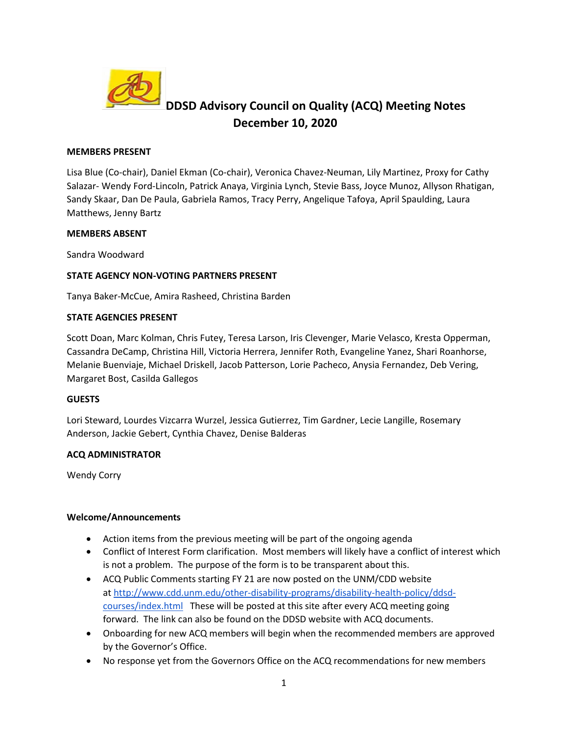

# **DDSD Advisory Council on Quality (ACQ) Meeting Notes December 10, 2020**

#### **MEMBERS PRESENT**

Lisa Blue (Co-chair), Daniel Ekman (Co-chair), Veronica Chavez-Neuman, Lily Martinez, Proxy for Cathy Salazar- Wendy Ford-Lincoln, Patrick Anaya, Virginia Lynch, Stevie Bass, Joyce Munoz, Allyson Rhatigan, Sandy Skaar, Dan De Paula, Gabriela Ramos, Tracy Perry, Angelique Tafoya, April Spaulding, Laura Matthews, Jenny Bartz

#### **MEMBERS ABSENT**

Sandra Woodward

# **STATE AGENCY NON-VOTING PARTNERS PRESENT**

Tanya Baker-McCue, Amira Rasheed, Christina Barden

#### **STATE AGENCIES PRESENT**

Scott Doan, Marc Kolman, Chris Futey, Teresa Larson, Iris Clevenger, Marie Velasco, Kresta Opperman, Cassandra DeCamp, Christina Hill, Victoria Herrera, Jennifer Roth, Evangeline Yanez, Shari Roanhorse, Melanie Buenviaje, Michael Driskell, Jacob Patterson, Lorie Pacheco, Anysia Fernandez, Deb Vering, Margaret Bost, Casilda Gallegos

# **GUESTS**

Lori Steward, Lourdes Vizcarra Wurzel, Jessica Gutierrez, Tim Gardner, Lecie Langille, Rosemary Anderson, Jackie Gebert, Cynthia Chavez, Denise Balderas

# **ACQ ADMINISTRATOR**

Wendy Corry

#### **Welcome/Announcements**

- Action items from the previous meeting will be part of the ongoing agenda
- Conflict of Interest Form clarification. Most members will likely have a conflict of interest which is not a problem. The purpose of the form is to be transparent about this.
- ACQ Public Comments starting FY 21 are now posted on the UNM/CDD website at [http://www.cdd.unm.edu/other-disability-programs/disability-health-policy/ddsd](http://www.cdd.unm.edu/other-disability-programs/disability-health-policy/ddsd-courses/index.html)[courses/index.html](http://www.cdd.unm.edu/other-disability-programs/disability-health-policy/ddsd-courses/index.html) These will be posted at this site after every ACQ meeting going forward. The link can also be found on the DDSD website with ACQ documents.
- Onboarding for new ACQ members will begin when the recommended members are approved by the Governor's Office.
- No response yet from the Governors Office on the ACQ recommendations for new members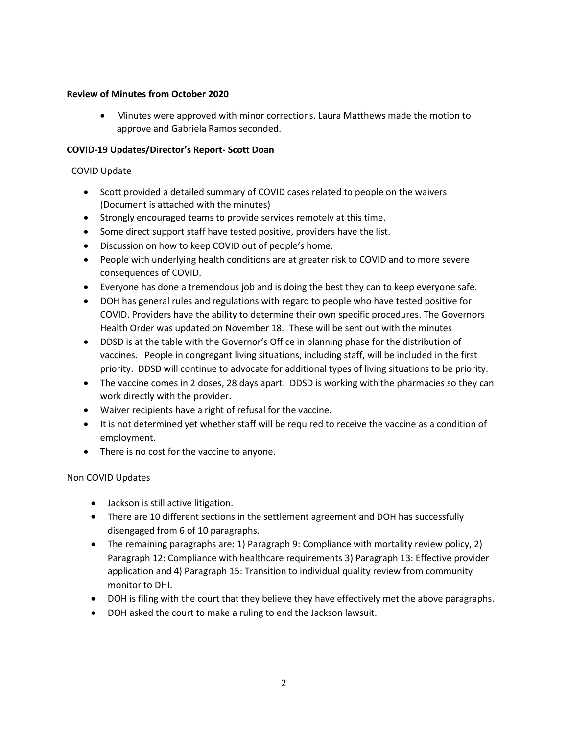# **Review of Minutes from October 2020**

• Minutes were approved with minor corrections. Laura Matthews made the motion to approve and Gabriela Ramos seconded.

#### **COVID-19 Updates/Director's Report- Scott Doan**

# COVID Update

- Scott provided a detailed summary of COVID cases related to people on the waivers (Document is attached with the minutes)
- Strongly encouraged teams to provide services remotely at this time.
- Some direct support staff have tested positive, providers have the list.
- Discussion on how to keep COVID out of people's home.
- People with underlying health conditions are at greater risk to COVID and to more severe consequences of COVID.
- Everyone has done a tremendous job and is doing the best they can to keep everyone safe.
- DOH has general rules and regulations with regard to people who have tested positive for COVID. Providers have the ability to determine their own specific procedures. The Governors Health Order was updated on November 18. These will be sent out with the minutes
- DDSD is at the table with the Governor's Office in planning phase for the distribution of vaccines. People in congregant living situations, including staff, will be included in the first priority. DDSD will continue to advocate for additional types of living situations to be priority.
- The vaccine comes in 2 doses, 28 days apart. DDSD is working with the pharmacies so they can work directly with the provider.
- Waiver recipients have a right of refusal for the vaccine.
- It is not determined yet whether staff will be required to receive the vaccine as a condition of employment.
- There is no cost for the vaccine to anyone.

# Non COVID Updates

- Jackson is still active litigation.
- There are 10 different sections in the settlement agreement and DOH has successfully disengaged from 6 of 10 paragraphs.
- The remaining paragraphs are: 1) Paragraph 9: Compliance with mortality review policy, 2) Paragraph 12: Compliance with healthcare requirements 3) Paragraph 13: Effective provider application and 4) Paragraph 15: Transition to individual quality review from community monitor to DHI.
- DOH is filing with the court that they believe they have effectively met the above paragraphs.
- DOH asked the court to make a ruling to end the Jackson lawsuit.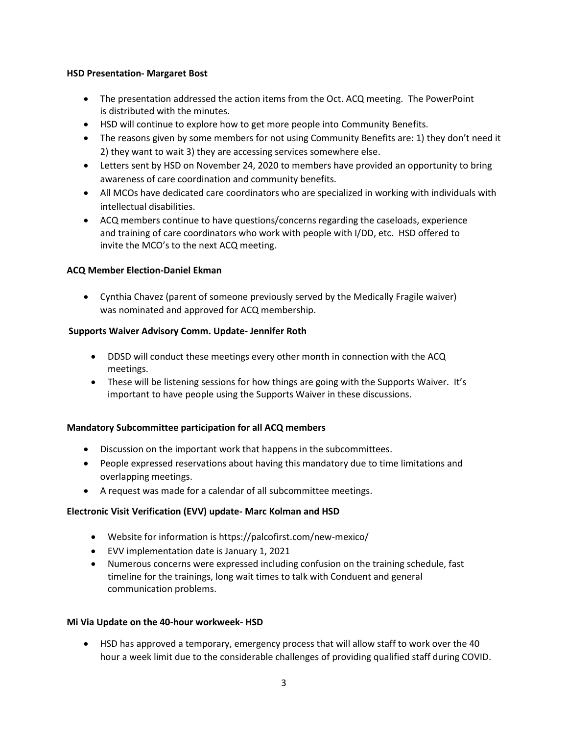# **HSD Presentation- Margaret Bost**

- The presentation addressed the action items from the Oct. ACQ meeting. The PowerPoint is distributed with the minutes.
- HSD will continue to explore how to get more people into Community Benefits.
- The reasons given by some members for not using Community Benefits are: 1) they don't need it 2) they want to wait 3) they are accessing services somewhere else.
- Letters sent by HSD on November 24, 2020 to members have provided an opportunity to bring awareness of care coordination and community benefits.
- All MCOs have dedicated care coordinators who are specialized in working with individuals with intellectual disabilities.
- ACQ members continue to have questions/concerns regarding the caseloads, experience and training of care coordinators who work with people with I/DD, etc. HSD offered to invite the MCO's to the next ACQ meeting.

# **ACQ Member Election-Daniel Ekman**

• Cynthia Chavez (parent of someone previously served by the Medically Fragile waiver) was nominated and approved for ACQ membership.

# **Supports Waiver Advisory Comm. Update- Jennifer Roth**

- DDSD will conduct these meetings every other month in connection with the ACQ meetings.
- These will be listening sessions for how things are going with the Supports Waiver. It's important to have people using the Supports Waiver in these discussions.

# **Mandatory Subcommittee participation for all ACQ members**

- Discussion on the important work that happens in the subcommittees.
- People expressed reservations about having this mandatory due to time limitations and overlapping meetings.
- A request was made for a calendar of all subcommittee meetings.

# **Electronic Visit Verification (EVV) update- Marc Kolman and HSD**

- Website for information is https://palcofirst.com/new-mexico/
- EVV implementation date is January 1, 2021
- Numerous concerns were expressed including confusion on the training schedule, fast timeline for the trainings, long wait times to talk with Conduent and general communication problems.

# **Mi Via Update on the 40-hour workweek- HSD**

• HSD has approved a temporary, emergency process that will allow staff to work over the 40 hour a week limit due to the considerable challenges of providing qualified staff during COVID.